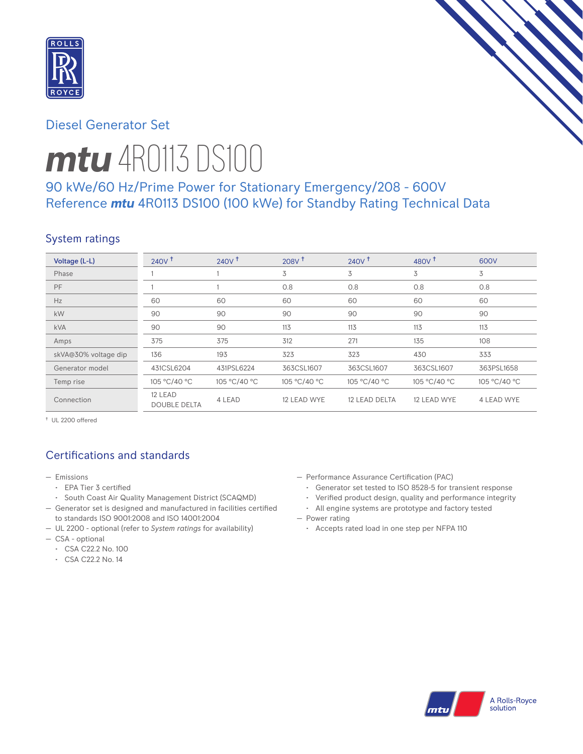

# Diesel Generator Set

# *mtu* 4R0113 DS100

# 90 kWe/60 Hz/Prime Power for Stationary Emergency/208 - 600V Reference *mtu* 4R0113 DS100 (100 kWe) for Standby Rating Technical Data

## System ratings

| Voltage (L-L)        | $240V$ <sup>t</sup>            | 240V <sup>†</sup> | 208V <sup>†</sup> | $240V^{\dagger}$ | 480 $V†$     | 600V              |
|----------------------|--------------------------------|-------------------|-------------------|------------------|--------------|-------------------|
| Phase                |                                |                   | 3                 | 3                | 3            | 3                 |
| PF                   |                                |                   | 0.8               | 0.8              | 0.8          | 0.8               |
| Hz                   | 60                             | 60                | 60                | 60               | 60           | 60                |
| kW                   | 90                             | 90                | 90                | 90               | 90           | 90                |
| <b>kVA</b>           | 90                             | 90                | 113               | 113              | 113          | 113               |
| Amps                 | 375                            | 375               | 312               | 271              | 135          | 108               |
| skVA@30% voltage dip | 136                            | 193               | 323               | 323              | 430          | 333               |
| Generator model      | 431CSL6204                     | 431PSL6224        | 363CSL1607        | 363CSL1607       | 363CSL1607   | 363PSL1658        |
| Temp rise            | 105 °C/40 °C                   | 105 °C/40 °C      | 105 °C/40 °C      | 105 °C/40 °C     | 105 °C/40 °C | 105 °C/40 °C      |
| Connection           | 12 LEAD<br><b>DOUBLE DELTA</b> | 4 LEAD            | 12 LEAD WYE       | 12 LEAD DELTA    | 12 LEAD WYE  | <b>4 LEAD WYE</b> |

† UL 2200 offered

# Certifications and standards

- Emissions
	- EPA Tier 3 certified
	- South Coast Air Quality Management District (SCAQMD)
- Generator set is designed and manufactured in facilities certified to standards ISO 9001:2008 and ISO 14001:2004
- UL 2200 optional (refer to *System ratings* for availability)
- CSA optional
	- CSA C22.2 No. 100
	- CSA C22.2 No. 14
- Performance Assurance Certification (PAC)
	- Generator set tested to ISO 8528-5 for transient response
	- Verified product design, quality and performance integrity
	- All engine systems are prototype and factory tested
- Power rating
	- Accepts rated load in one step per NFPA 110

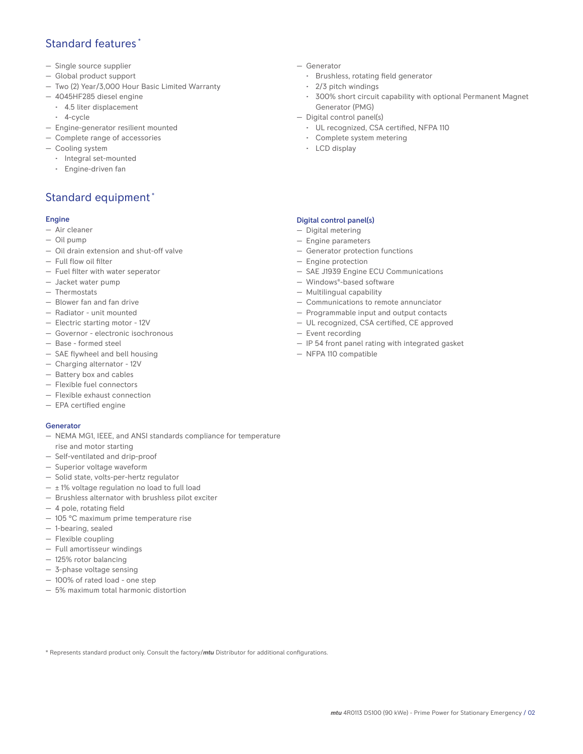## Standard features \*

- Single source supplier
- Global product support
- Two (2) Year/3,000 Hour Basic Limited Warranty
- 4045HF285 diesel engine
	- 4.5 liter displacement
	- 4-cycle
- Engine-generator resilient mounted
- Complete range of accessories
- Cooling system
	- Integral set-mounted
	- Engine-driven fan

# Standard equipment \*

#### Engine

- Air cleaner
- Oil pump
- Oil drain extension and shut-off valve
- Full flow oil filter
- Fuel filter with water seperator
- Jacket water pump
- Thermostats
- Blower fan and fan drive
- Radiator unit mounted
- Electric starting motor 12V
- Governor electronic isochronous
- Base formed steel
- SAE flywheel and bell housing
- Charging alternator 12V
- Battery box and cables
- Flexible fuel connectors
- Flexible exhaust connection
- EPA certified engine

#### Generator

- NEMA MG1, IEEE, and ANSI standards compliance for temperature rise and motor starting
- Self-ventilated and drip-proof
- Superior voltage waveform
- Solid state, volts-per-hertz regulator
- $\pm$  1% voltage regulation no load to full load
- Brushless alternator with brushless pilot exciter
- 4 pole, rotating field
- 105 °C maximum prime temperature rise
- 1-bearing, sealed
- Flexible coupling
- Full amortisseur windings
- 125% rotor balancing
- 3-phase voltage sensing
- 100% of rated load one step
- 5% maximum total harmonic distortion
- Generator
	- Brushless, rotating field generator
	- 2/3 pitch windings
	- 300% short circuit capability with optional Permanent Magnet Generator (PMG)
- Digital control panel(s)
	- UL recognized, CSA certified, NFPA 110
	- Complete system metering
	- LCD display

## Digital control panel(s)

- Digital metering
- Engine parameters
- Generator protection functions
- Engine protection
- SAE J1939 Engine ECU Communications
- Windows®-based software
- Multilingual capability
- Communications to remote annunciator
- Programmable input and output contacts
- UL recognized, CSA certified, CE approved
- Event recording
- IP 54 front panel rating with integrated gasket
- NFPA 110 compatible

\* Represents standard product only. Consult the factory/*mtu* Distributor for additional configurations.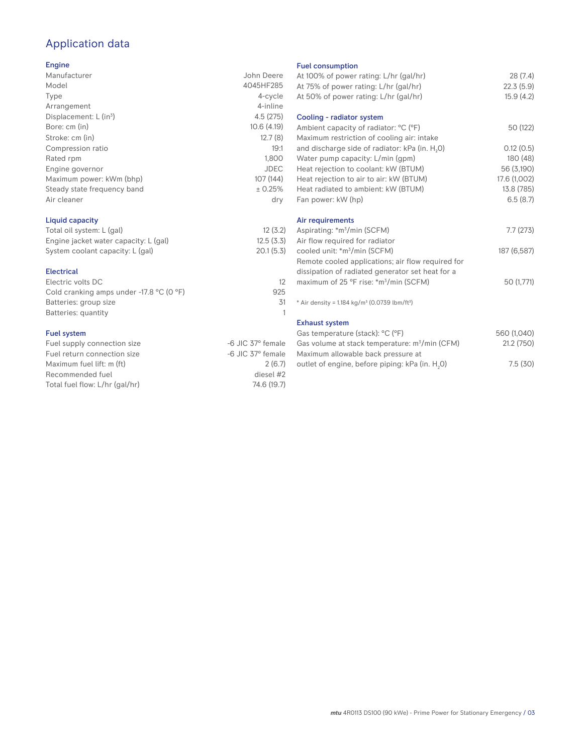# Application data

### Engine

| Manufacturer                | John Deere  |
|-----------------------------|-------------|
| Model                       | 4045HF285   |
| Type                        | 4-cycle     |
| Arrangement                 | 4-inline    |
| Displacement: $L (in3)$     | 4.5(275)    |
| Bore: cm (in)               | 10.6(4.19)  |
| Stroke: cm (in)             | 12.7(8)     |
| Compression ratio           | 19:1        |
| Rated rpm                   | 1,800       |
| Engine governor             | <b>JDEC</b> |
| Maximum power: kWm (bhp)    | 107 (144)   |
| Steady state frequency band | ± 0.25%     |
| Air cleaner                 | dry         |
|                             |             |

## Liquid capacity

| Total oil system: L (gal)             | 12(3.2)   |
|---------------------------------------|-----------|
| Engine jacket water capacity: L (gal) | 12.5(3.3) |
| System coolant capacity: L (gal)      | 20.1(5.3) |

#### Electrical

| Electric volts DC                                            |     |
|--------------------------------------------------------------|-----|
| Cold cranking amps under -17.8 $^{\circ}$ C (O $^{\circ}$ F) | 925 |
| Batteries: group size                                        | .31 |
| Batteries: quantity                                          |     |
|                                                              |     |

## Fuel system

| -6 JIC 37° female |
|-------------------|
| -6 JIC 37° female |
| 2(6.7)            |
| diesel #2         |
| 74.6 (19.7)       |
|                   |

#### Fuel consumption

| .e           | At 100% of power rating: L/hr (gal/hr)                                | 28(7.4)      |
|--------------|-----------------------------------------------------------------------|--------------|
| 5            | At 75% of power rating: L/hr (gal/hr)                                 | 22.3(5.9)    |
| e            | At 50% of power rating: L/hr (gal/hr)                                 | 15.9(4.2)    |
| е            |                                                                       |              |
| 5)           | Cooling - radiator system                                             |              |
| 3)           | Ambient capacity of radiator: °C (°F)                                 | 50 (122)     |
| 3)           | Maximum restriction of cooling air: intake                            |              |
| :1           | and discharge side of radiator: kPa (in. H <sub>2</sub> O)            | 0.12(0.5)    |
| 0            | Water pump capacity: L/min (gpm)                                      | 180 (48)     |
| С            | Heat rejection to coolant: kW (BTUM)                                  | 56 (3,190)   |
| 4)           | Heat rejection to air to air: kW (BTUM)                               | 17.6 (1,002) |
| ℅            | Heat radiated to ambient: kW (BTUM)                                   | 13.8 (785)   |
| .<br>V       | Fan power: kW (hp)                                                    | 6.5(8.7)     |
|              | Air requirements                                                      |              |
| .2)          | Aspirating: *m <sup>3</sup> /min (SCFM)                               | 7.7(273)     |
| .3)          | Air flow required for radiator                                        |              |
| .3)          | cooled unit: *m <sup>3</sup> /min (SCFM)                              | 187 (6,587)  |
|              | Remote cooled applications; air flow required for                     |              |
|              | dissipation of radiated generator set heat for a                      |              |
| 12           | maximum of 25 °F rise: *m <sup>3</sup> /min (SCFM)                    | 50 (1,771)   |
| 25           |                                                                       |              |
| 31           | * Air density = 1.184 kg/m <sup>3</sup> (0.0739 lbm/ft <sup>3</sup> ) |              |
| $\mathbf{1}$ |                                                                       |              |
|              | <b>Exhaust system</b>                                                 |              |
|              | Gas temperature (stack): °C (°F)                                      | 560 (1,040)  |
| ıle          | Gas volume at stack temperature: m <sup>3</sup> /min (CFM)            | 21.2 (750)   |
| ıle          | Maximum allowable back pressure at                                    |              |
| .7)          | outlet of engine, before piping: kPa (in. H <sub>2</sub> 0)           | 7.5(30)      |
|              |                                                                       |              |